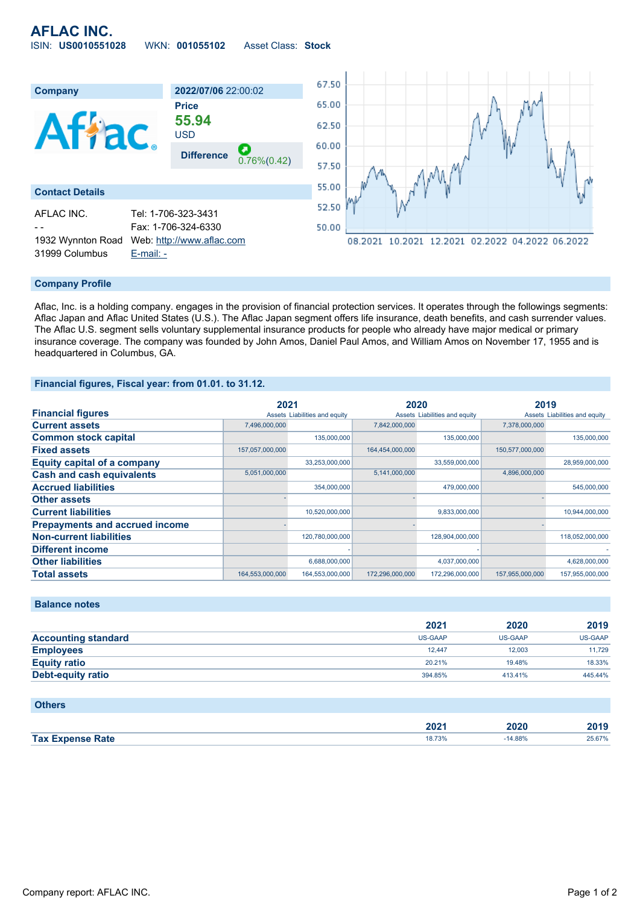# **AFLAC INC.** ISIN: **US0010551028** WKN: **001055102** Asset Class: **Stock**



### **Company Profile**

Aflac, Inc. is a holding company. engages in the provision of financial protection services. It operates through the followings segments: Aflac Japan and Aflac United States (U.S.). The Aflac Japan segment offers life insurance, death benefits, and cash surrender values. The Aflac U.S. segment sells voluntary supplemental insurance products for people who already have major medical or primary insurance coverage. The company was founded by John Amos, Daniel Paul Amos, and William Amos on November 17, 1955 and is headquartered in Columbus, GA.

### **Financial figures, Fiscal year: from 01.01. to 31.12.**

|                                       | 2021            |                               | 2020            |                               | 2019            |                               |
|---------------------------------------|-----------------|-------------------------------|-----------------|-------------------------------|-----------------|-------------------------------|
| <b>Financial figures</b>              |                 | Assets Liabilities and equity |                 | Assets Liabilities and equity |                 | Assets Liabilities and equity |
| <b>Current assets</b>                 | 7,496,000,000   |                               | 7,842,000,000   |                               | 7.378.000.000   |                               |
| <b>Common stock capital</b>           |                 | 135,000,000                   |                 | 135,000,000                   |                 | 135,000,000                   |
| <b>Fixed assets</b>                   | 157,057,000,000 |                               | 164,454,000,000 |                               | 150,577,000,000 |                               |
| <b>Equity capital of a company</b>    |                 | 33,253,000,000                |                 | 33,559,000,000                |                 | 28,959,000,000                |
| <b>Cash and cash equivalents</b>      | 5,051,000,000   |                               | 5,141,000,000   |                               | 4,896,000,000   |                               |
| <b>Accrued liabilities</b>            |                 | 354,000,000                   |                 | 479,000,000                   |                 | 545,000,000                   |
| <b>Other assets</b>                   |                 |                               |                 |                               |                 |                               |
| <b>Current liabilities</b>            |                 | 10,520,000,000                |                 | 9,833,000,000                 |                 | 10,944,000,000                |
| <b>Prepayments and accrued income</b> |                 |                               |                 |                               |                 |                               |
| <b>Non-current liabilities</b>        |                 | 120,780,000,000               |                 | 128,904,000,000               |                 | 118,052,000,000               |
| <b>Different income</b>               |                 |                               |                 |                               |                 |                               |
| <b>Other liabilities</b>              |                 | 6,688,000,000                 |                 | 4,037,000,000                 |                 | 4,628,000,000                 |
| <b>Total assets</b>                   | 164,553,000,000 | 164,553,000,000               | 172,296,000,000 | 172,296,000,000               | 157,955,000,000 | 157,955,000,000               |

## **Balance notes**

|                            | 2021           | 2020           | 2019    |
|----------------------------|----------------|----------------|---------|
| <b>Accounting standard</b> | <b>US-GAAP</b> | <b>US-GAAP</b> | US-GAAP |
| <b>Employees</b>           | 12.447         | 12.003         | 11,729  |
| <b>Equity ratio</b>        | 20.21%         | 19.48%         | 18.33%  |
| Debt-equity ratio          | 394.85%        | 413.41%        | 445.44% |

#### **Others**

|                         | רחר<br>ZUZ. | 2020 | 1040   |
|-------------------------|-------------|------|--------|
| <b>Tax Expense Rate</b> | 18.73%      | 88%  | 25.67% |